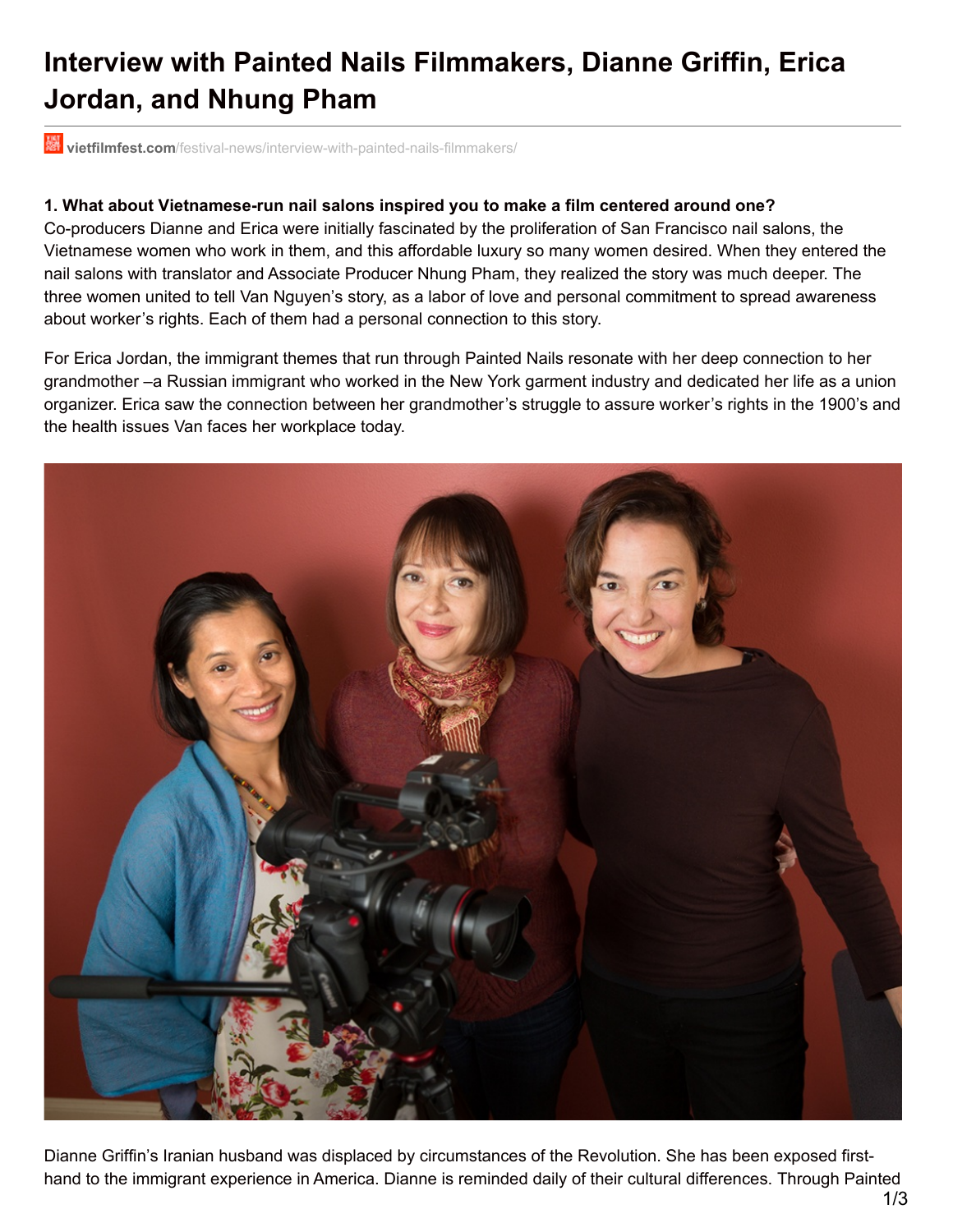# **Interview with Painted Nails Filmmakers, Dianne Griffin, Erica Jordan, and Nhung Pham**

**vietfilmfest.com**[/festival-news/interview-with-painted-nails-filmmakers/](http://www.vietfilmfest.com/festival-news/interview-with-painted-nails-filmmakers/)

#### **1. What about Vietnamese-run nail salons inspired you to make a film centered around one?**

Co-producers Dianne and Erica were initially fascinated by the proliferation of San Francisco nail salons, the Vietnamese women who work in them, and this affordable luxury so many women desired. When they entered the nail salons with translator and Associate Producer Nhung Pham, they realized the story was much deeper. The three women united to tell Van Nguyen's story, as a labor of love and personal commitment to spread awareness about worker's rights. Each of them had a personal connection to this story.

For Erica Jordan, the immigrant themes that run through Painted Nails resonate with her deep connection to her grandmother –a Russian immigrant who worked in the New York garment industry and dedicated her life as a union organizer. Erica saw the connection between her grandmother's struggle to assure worker's rights in the 1900's and the health issues Van faces her workplace today.



Dianne Griffin's Iranian husband was displaced by circumstances of the Revolution. She has been exposed firsthand to the immigrant experience in America. Dianne is reminded daily of their cultural differences. Through Painted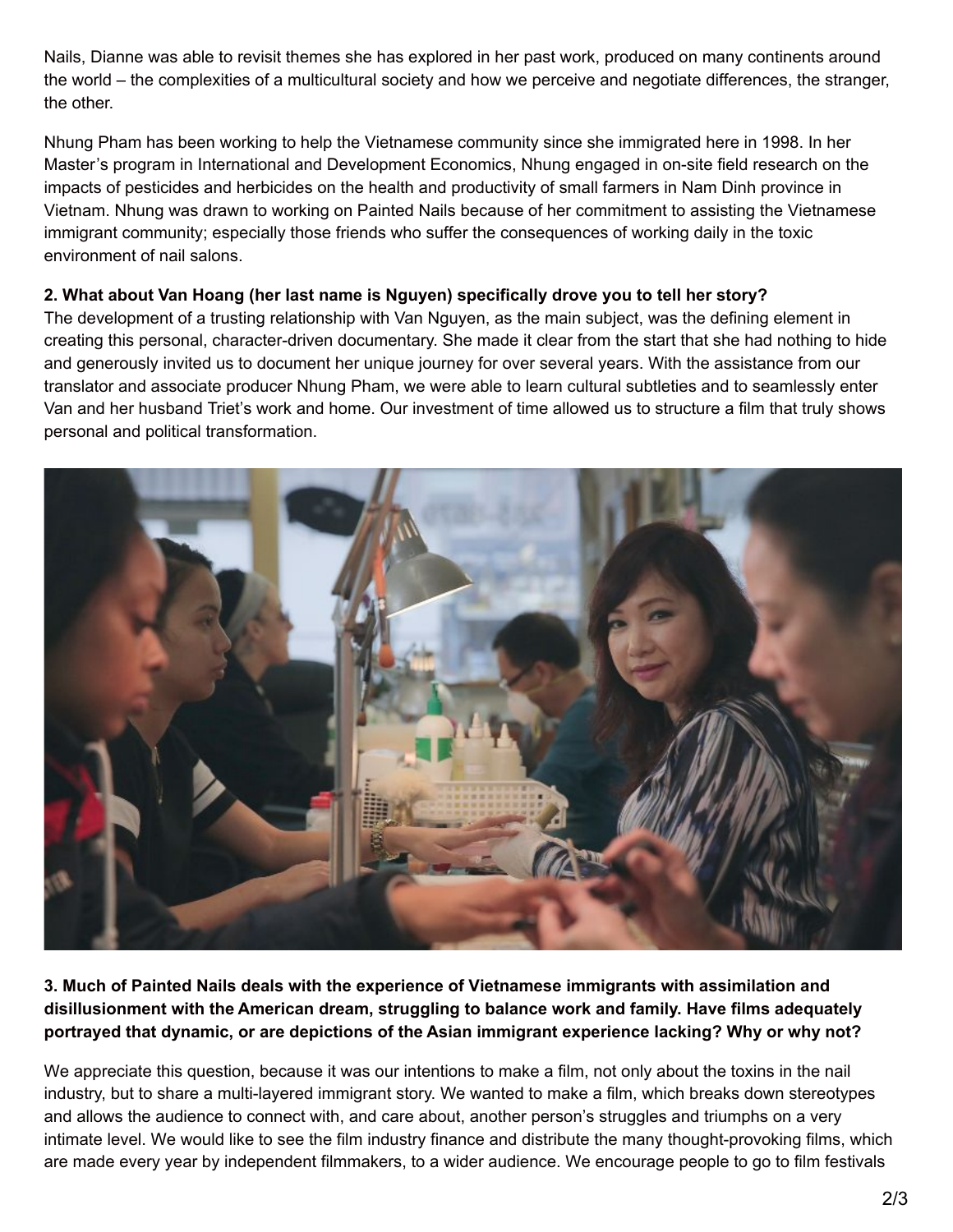Nails, Dianne was able to revisit themes she has explored in her past work, produced on many continents around the world – the complexities of a multicultural society and how we perceive and negotiate differences, the stranger, the other.

Nhung Pham has been working to help the Vietnamese community since she immigrated here in 1998. In her Master's program in International and Development Economics, Nhung engaged in on-site field research on the impacts of pesticides and herbicides on the health and productivity of small farmers in Nam Dinh province in Vietnam. Nhung was drawn to working on Painted Nails because of her commitment to assisting the Vietnamese immigrant community; especially those friends who suffer the consequences of working daily in the toxic environment of nail salons.

#### **2. What about Van Hoang (her last name is Nguyen) specifically drove you to tell her story?**

The development of a trusting relationship with Van Nguyen, as the main subject, was the defining element in creating this personal, character-driven documentary. She made it clear from the start that she had nothing to hide and generously invited us to document her unique journey for over several years. With the assistance from our translator and associate producer Nhung Pham, we were able to learn cultural subtleties and to seamlessly enter Van and her husband Triet's work and home. Our investment of time allowed us to structure a film that truly shows personal and political transformation.



**3. Much of Painted Nails deals with the experience of Vietnamese immigrants with assimilation and disillusionment with the American dream, struggling to balance work and family. Have films adequately portrayed that dynamic, or are depictions of the Asian immigrant experience lacking? Why or why not?**

We appreciate this question, because it was our intentions to make a film, not only about the toxins in the nail industry, but to share a multi-layered immigrant story. We wanted to make a film, which breaks down stereotypes and allows the audience to connect with, and care about, another person's struggles and triumphs on a very intimate level. We would like to see the film industry finance and distribute the many thought-provoking films, which are made every year by independent filmmakers, to a wider audience. We encourage people to go to film festivals